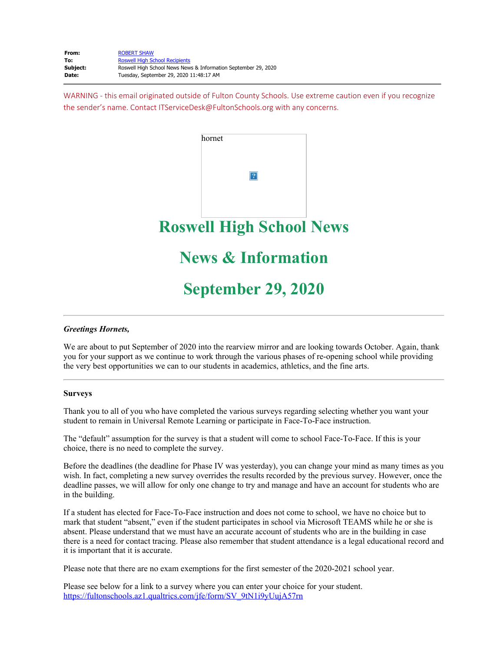WARNING - this email originated outside of Fulton County Schools. Use extreme caution even if you recognize the sender's name. Contact ITServiceDesk@FultonSchools.org with any concerns.



# **September 29, 2020**

#### *Greetings Hornets,*

We are about to put September of 2020 into the rearview mirror and are looking towards October. Again, thank you for your support as we continue to work through the various phases of re-opening school while providing the very best opportunities we can to our students in academics, athletics, and the fine arts.

#### **Surveys**

Thank you to all of you who have completed the various surveys regarding selecting whether you want your student to remain in Universal Remote Learning or participate in Face-To-Face instruction.

The "default" assumption for the survey is that a student will come to school Face-To-Face. If this is your choice, there is no need to complete the survey.

Before the deadlines (the deadline for Phase IV was yesterday), you can change your mind as many times as you wish. In fact, completing a new survey overrides the results recorded by the previous survey. However, once the deadline passes, we will allow for only one change to try and manage and have an account for students who are in the building.

If a student has elected for Face-To-Face instruction and does not come to school, we have no choice but to mark that student "absent," even if the student participates in school via Microsoft TEAMS while he or she is absent. Please understand that we must have an accurate account of students who are in the building in case there is a need for contact tracing. Please also remember that student attendance is a legal educational record and it is important that it is accurate.

Please note that there are no exam exemptions for the first semester of the 2020-2021 school year.

Please see below for a link to a survey where you can enter your choice for your student. [https://fultonschools.az1.qualtrics.com/jfe/form/SV\\_9tN1i9yUujA57rn](https://nam03.safelinks.protection.outlook.com/?url=https%3A%2F%2Ffultonschools.az1.qualtrics.com%2Fjfe%2Fform%2FSV_9tN1i9yUujA57rn&data=02%7C01%7Cmurphys%40fultonschools.org%7Cf010798b70034996aca608d8648ecd2c%7C0cdcb19881694b70ba9fda7e3ba700c2%7C1%7C0%7C637369912959565376&sdata=GpJWEmtHNpJRiUHOEJGKV68PSmVTdONzTsZztQxzlYo%3D&reserved=0)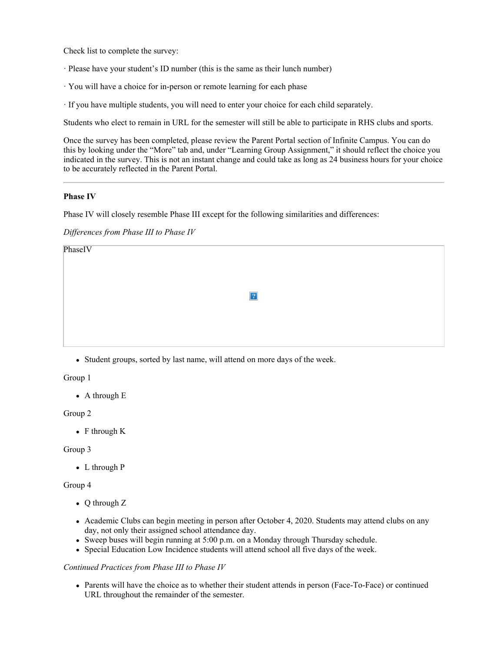Check list to complete the survey:

- · Please have your student's ID number (this is the same as their lunch number)
- · You will have a choice for in-person or remote learning for each phase
- · If you have multiple students, you will need to enter your choice for each child separately.

Students who elect to remain in URL for the semester will still be able to participate in RHS clubs and sports.

Once the survey has been completed, please review the Parent Portal section of Infinite Campus. You can do this by looking under the "More" tab and, under "Learning Group Assignment," it should reflect the choice you indicated in the survey. This is not an instant change and could take as long as 24 business hours for your choice to be accurately reflected in the Parent Portal.

#### **Phase IV**

Phase IV will closely resemble Phase III except for the following similarities and differences:

*Differences from Phase III to Phase IV*

| PhaseIV |                |
|---------|----------------|
|         |                |
|         | $\overline{?}$ |
|         |                |
|         |                |

Student groups, sorted by last name, will attend on more days of the week.

Group 1

• A through E

Group 2

• F through K

#### Group 3

• L through P

#### Group 4

- Q through Z
- Academic Clubs can begin meeting in person after October 4, 2020. Students may attend clubs on any day, not only their assigned school attendance day.
- Sweep buses will begin running at 5:00 p.m. on a Monday through Thursday schedule.
- Special Education Low Incidence students will attend school all five days of the week.

#### *Continued Practices from Phase III to Phase IV*

Parents will have the choice as to whether their student attends in person (Face-To-Face) or continued URL throughout the remainder of the semester.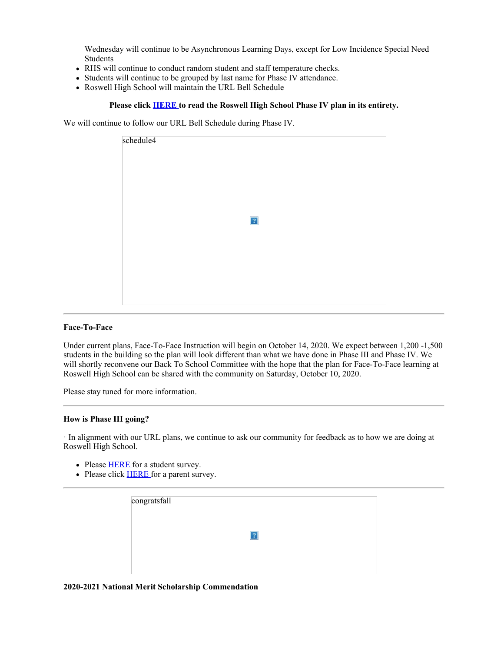Wednesday will continue to be Asynchronous Learning Days, except for Low Incidence Special Need Students

- RHS will continue to conduct random student and staff temperature checks.
- Students will continue to be grouped by last name for Phase IV attendance.
- Roswell High School will maintain the URL Bell Schedule

### **Please click [HERE](https://nam03.safelinks.protection.outlook.com/?url=http%3A%2F%2Fnew.shawadmin.com%2FRoswell%2FPublic%2FPhaseIV.pdf&data=02%7C01%7Cmurphys%40fultonschools.org%7Cf010798b70034996aca608d8648ecd2c%7C0cdcb19881694b70ba9fda7e3ba700c2%7C1%7C0%7C637369912959565376&sdata=PoXqBZ%2FcX0%2BvpyP%2BK4doiqHxfd6BQ0A9KN9szuzNJIE%3D&reserved=0) to read the Roswell High School Phase IV plan in its entirety.**

We will continue to follow our URL Bell Schedule during Phase IV.

| schedule4      |
|----------------|
|                |
|                |
|                |
|                |
|                |
|                |
| $\overline{?}$ |
|                |
|                |
|                |
|                |
|                |
|                |
|                |

#### **Face-To-Face**

Under current plans, Face-To-Face Instruction will begin on October 14, 2020. We expect between 1,200 -1,500 students in the building so the plan will look different than what we have done in Phase III and Phase IV. We will shortly reconvene our Back To School Committee with the hope that the plan for Face-To-Face learning at Roswell High School can be shared with the community on Saturday, October 10, 2020.

Please stay tuned for more information.

#### **How is Phase III going?**

· In alignment with our URL plans, we continue to ask our community for feedback as to how we are doing at Roswell High School.

- Please **[HERE](https://forms.office.com/Pages/ResponsePage.aspx?id=mLHcDGmBcEu6n9p-O6cAwify9XSUym1Hi9A9FhPxy3VURUtFOTdaTTM2V0E0NlpTSURVNEQxSktKTy4u)** for a student survey.
- Please click **[HERE](https://forms.office.com/Pages/ResponsePage.aspx?id=mLHcDGmBcEu6n9p-O6cAwify9XSUym1Hi9A9FhPxy3VUM0g4N0dNWlNDVTNGT1A2MDdIT0o3SlY0RS4u)** for a parent survey.

| congratsfall |  |  |
|--------------|--|--|
|              |  |  |
|              |  |  |
|              |  |  |

#### **2020-2021 National Merit Scholarship Commendation**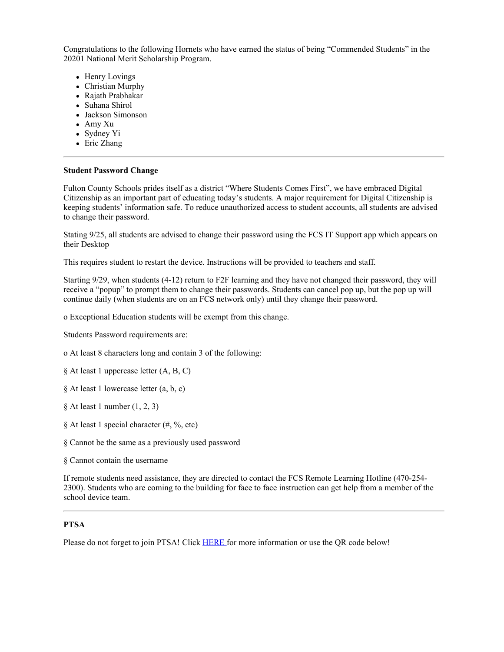Congratulations to the following Hornets who have earned the status of being "Commended Students" in the 20201 National Merit Scholarship Program.

- Henry Lovings
- Christian Murphy
- Rajath Prabhakar
- Suhana Shirol
- Jackson Simonson
- Amy Xu
- Sydney Yi
- Eric Zhang

#### **Student Password Change**

Fulton County Schools prides itself as a district "Where Students Comes First", we have embraced Digital Citizenship as an important part of educating today's students. A major requirement for Digital Citizenship is keeping students' information safe. To reduce unauthorized access to student accounts, all students are advised to change their password.

Stating 9/25, all students are advised to change their password using the FCS IT Support app which appears on their Desktop

This requires student to restart the device. Instructions will be provided to teachers and staff.

Starting 9/29, when students (4-12) return to F2F learning and they have not changed their password, they will receive a "popup" to prompt them to change their passwords. Students can cancel pop up, but the pop up will continue daily (when students are on an FCS network only) until they change their password.

o Exceptional Education students will be exempt from this change.

Students Password requirements are:

o At least 8 characters long and contain 3 of the following:

- § At least 1 uppercase letter (A, B, C)
- § At least 1 lowercase letter (a, b, c)

§ At least 1 number (1, 2, 3)

§ At least 1 special character (#, %, etc)

§ Cannot be the same as a previously used password

§ Cannot contain the username

If remote students need assistance, they are directed to contact the FCS Remote Learning Hotline (470-254- 2300). Students who are coming to the building for face to face instruction can get help from a member of the school device team.

#### **PTSA**

Please do not forget to join PTSA! Click [HERE](https://nam03.safelinks.protection.outlook.com/?url=https%3A%2F%2Froswellhsptsa.new.memberhub.store%2Fstore&data=02%7C01%7Cmurphys%40fultonschools.org%7Cf010798b70034996aca608d8648ecd2c%7C0cdcb19881694b70ba9fda7e3ba700c2%7C1%7C0%7C637369912959575333&sdata=oc7JsfimywaMd4VAxXC3NBKBicDvRHrGQMn2qlkHOtk%3D&reserved=0) for more information or use the QR code below!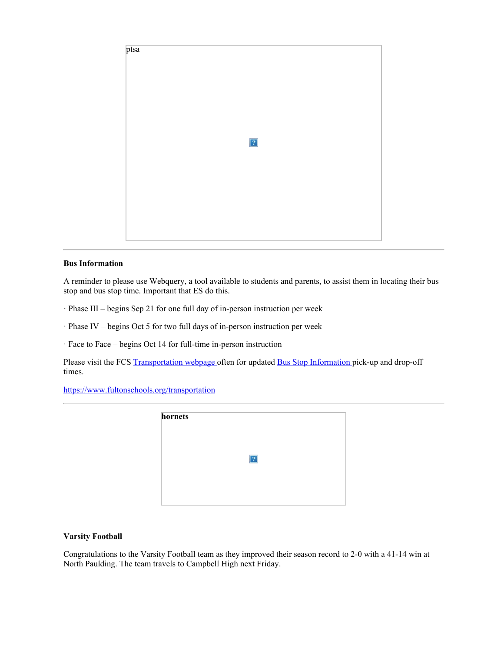

# **Bus Information**

A reminder to please use Webquery, a tool available to students and parents, to assist them in locating their bus stop and bus stop time. Important that ES do this.

- · Phase III begins Sep 21 for one full day of in-person instruction per week
- · Phase IV begins Oct 5 for two full days of in-person instruction per week

· Face to Face – begins Oct 14 for full-time in-person instruction

Please visit the FCS [Transportation](https://www.fultonschools.org/transportation) webpage often for updated Bus Stop [Information](https://nam03.safelinks.protection.outlook.com/?url=https%3A%2F%2Fedulogweb.fultonschools.org%2Flivewq%2Fwebquery%2F&data=02%7C01%7Cmurphys%40fultonschools.org%7Cf010798b70034996aca608d8648ecd2c%7C0cdcb19881694b70ba9fda7e3ba700c2%7C1%7C0%7C637369912959575333&sdata=Fz8RGpJegtf%2BD49WuEKyHjW2w8BBLmcD2RMjIfX67Ag%3D&reserved=0) pick-up and drop-off times.

<https://www.fultonschools.org/transportation>



#### **Varsity Football**

Congratulations to the Varsity Football team as they improved their season record to 2-0 with a 41-14 win at North Paulding. The team travels to Campbell High next Friday.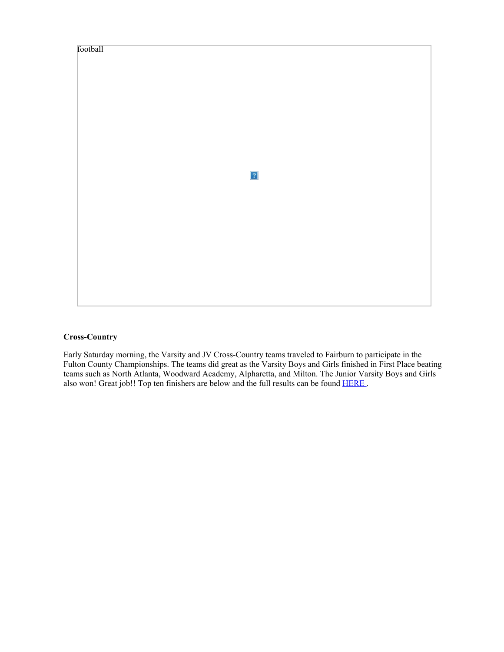

# **Cross-Country**

Early Saturday morning, the Varsity and JV Cross-Country teams traveled to Fairburn to participate in the Fulton County Championships. The teams did great as the Varsity Boys and Girls finished in First Place beating teams such as North Atlanta, Woodward Academy, Alpharetta, and Milton. The Junior Varsity Boys and Girls also won! Great job!! Top ten finishers are below and the full results can be found [HERE](https://nam03.safelinks.protection.outlook.com/?url=https%3A%2F%2Fga.milesplit.com%2Fmeets%2F386785-fulton-county-cross-country-championship%2Fresults%2F702244%2Fraw%23.X2-1eWhKiM8&data=02%7C01%7Cmurphys%40fultonschools.org%7Cf010798b70034996aca608d8648ecd2c%7C0cdcb19881694b70ba9fda7e3ba700c2%7C1%7C0%7C637369912959585290&sdata=6O10sKWu4kuzAySur6KMx7Nit%2FxQnTBA9V0Fapk5ujM%3D&reserved=0).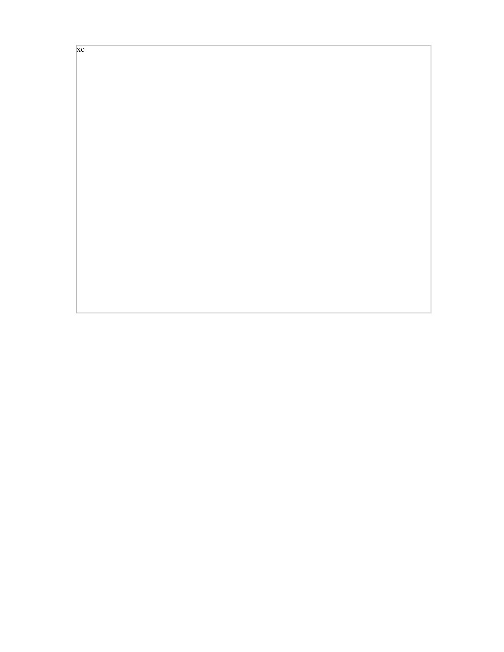xc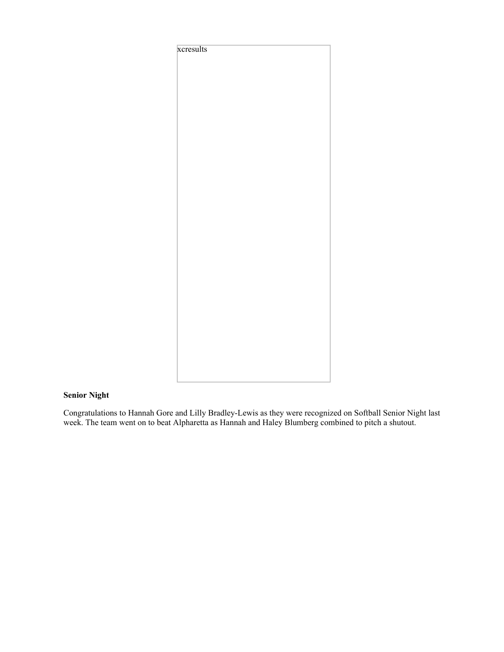

# **Senior Night**

Congratulations to Hannah Gore and Lilly Bradley-Lewis as they were recognized on Softball Senior Night last week. The team went on to beat Alpharetta as Hannah and Haley Blumberg combined to pitch a shutout.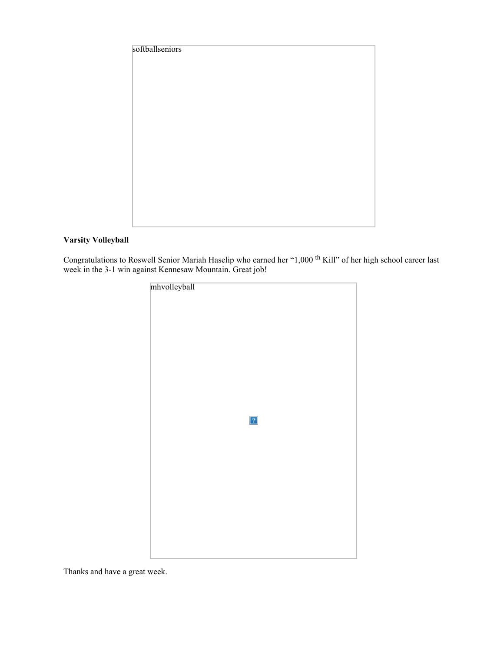| softballseniors |  |  |
|-----------------|--|--|
|                 |  |  |
|                 |  |  |
|                 |  |  |
|                 |  |  |
|                 |  |  |
|                 |  |  |
|                 |  |  |
|                 |  |  |
|                 |  |  |
|                 |  |  |
|                 |  |  |

# **Varsity Volleyball**

Congratulations to Roswell Senior Mariah Haselip who earned her "1,000 <sup>th</sup> Kill" of her high school career last week in the 3-1 win against Kennesaw Mountain. Great job!

| mhvolleyball |  |
|--------------|--|
|              |  |
|              |  |
|              |  |
|              |  |
|              |  |
|              |  |
|              |  |
|              |  |
|              |  |
| $\boxed{?}$  |  |
|              |  |
|              |  |
|              |  |
|              |  |
|              |  |
|              |  |
|              |  |
|              |  |
|              |  |
|              |  |

Thanks and have a great week.